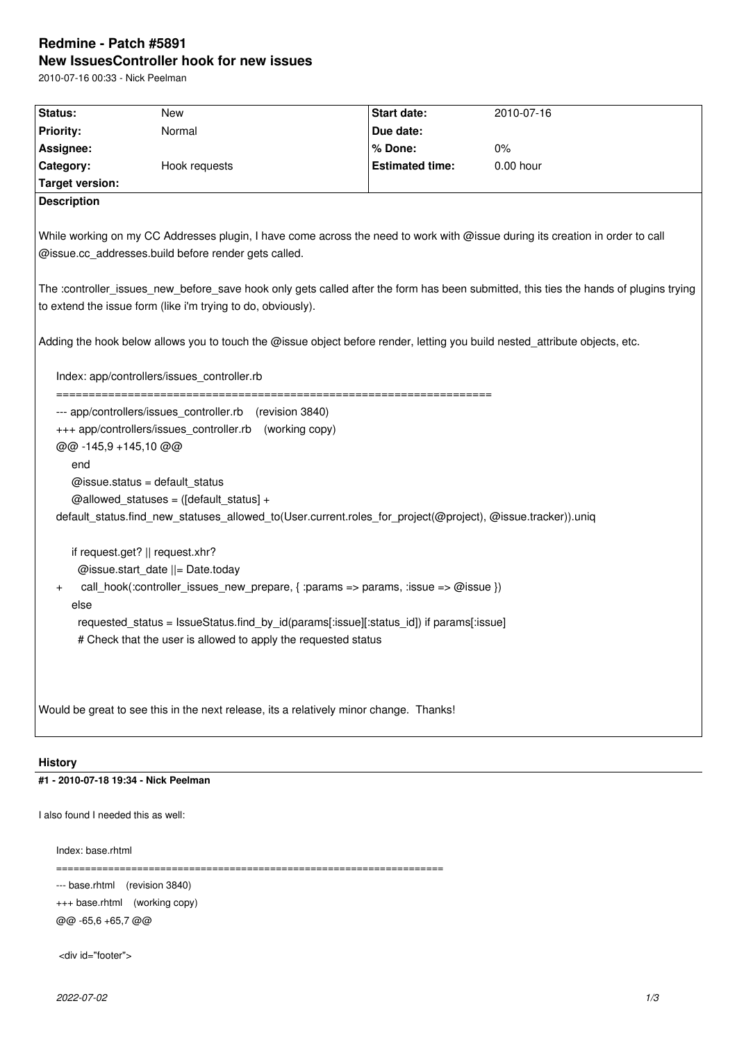# **Redmine - Patch #5891 New IssuesController hook for new issues**

2010-07-16 00:33 - Nick Peelman

| Status:                                                                                                                               | New                                                                                     | Start date:            | 2010-07-16 |  |
|---------------------------------------------------------------------------------------------------------------------------------------|-----------------------------------------------------------------------------------------|------------------------|------------|--|
| <b>Priority:</b>                                                                                                                      | Normal                                                                                  | Due date:              |            |  |
| Assignee:                                                                                                                             |                                                                                         | % Done:                | 0%         |  |
| Category:                                                                                                                             | Hook requests                                                                           | <b>Estimated time:</b> | 0.00 hour  |  |
| <b>Target version:</b>                                                                                                                |                                                                                         |                        |            |  |
| <b>Description</b>                                                                                                                    |                                                                                         |                        |            |  |
|                                                                                                                                       |                                                                                         |                        |            |  |
| While working on my CC Addresses plugin, I have come across the need to work with @issue during its creation in order to call         |                                                                                         |                        |            |  |
| @issue.cc_addresses.build before render gets called.                                                                                  |                                                                                         |                        |            |  |
|                                                                                                                                       |                                                                                         |                        |            |  |
| The :controller_issues_new_before_save hook only gets called after the form has been submitted, this ties the hands of plugins trying |                                                                                         |                        |            |  |
| to extend the issue form (like i'm trying to do, obviously).                                                                          |                                                                                         |                        |            |  |
|                                                                                                                                       |                                                                                         |                        |            |  |
| Adding the hook below allows you to touch the @issue object before render, letting you build nested_attribute objects, etc.           |                                                                                         |                        |            |  |
| Index: app/controllers/issues_controller.rb                                                                                           |                                                                                         |                        |            |  |
|                                                                                                                                       |                                                                                         |                        |            |  |
| --- app/controllers/issues_controller.rb (revision 3840)                                                                              |                                                                                         |                        |            |  |
| +++ app/controllers/issues_controller.rb (working copy)                                                                               |                                                                                         |                        |            |  |
| @@-145,9 +145,10 @@                                                                                                                   |                                                                                         |                        |            |  |
| end                                                                                                                                   |                                                                                         |                        |            |  |
| @issue.status = default_status                                                                                                        |                                                                                         |                        |            |  |
| @allowed_statuses = $([default\_status] +$                                                                                            |                                                                                         |                        |            |  |
| default_status.find_new_statuses_allowed_to(User.current.roles_for_project(@project), @issue.tracker)).uniq                           |                                                                                         |                        |            |  |
|                                                                                                                                       |                                                                                         |                        |            |  |
| if request.get?    request.xhr?                                                                                                       |                                                                                         |                        |            |  |
| @issue.start_date   = Date.today                                                                                                      |                                                                                         |                        |            |  |
| call_hook(:controller_issues_new_prepare, { :params => params, :issue => @issue })<br>$\ddot{}$                                       |                                                                                         |                        |            |  |
| else                                                                                                                                  |                                                                                         |                        |            |  |
|                                                                                                                                       | requested status = IssueStatus.find by id(params[:issue][:status id]) if params[:issue] |                        |            |  |
|                                                                                                                                       | # Check that the user is allowed to apply the requested status                          |                        |            |  |
|                                                                                                                                       |                                                                                         |                        |            |  |
|                                                                                                                                       |                                                                                         |                        |            |  |
|                                                                                                                                       |                                                                                         |                        |            |  |
| Would be great to see this in the next release, its a relatively minor change. Thanks!                                                |                                                                                         |                        |            |  |
|                                                                                                                                       |                                                                                         |                        |            |  |
|                                                                                                                                       |                                                                                         |                        |            |  |

## **History**

**#1 - 2010-07-18 19:34 - Nick Peelman**

I also found I needed this as well:

Index: base.rhtml

===================================================================

--- base.rhtml (revision 3840)

+++ base.rhtml (working copy) @@ -65,6 +65,7 @@

<div id="footer">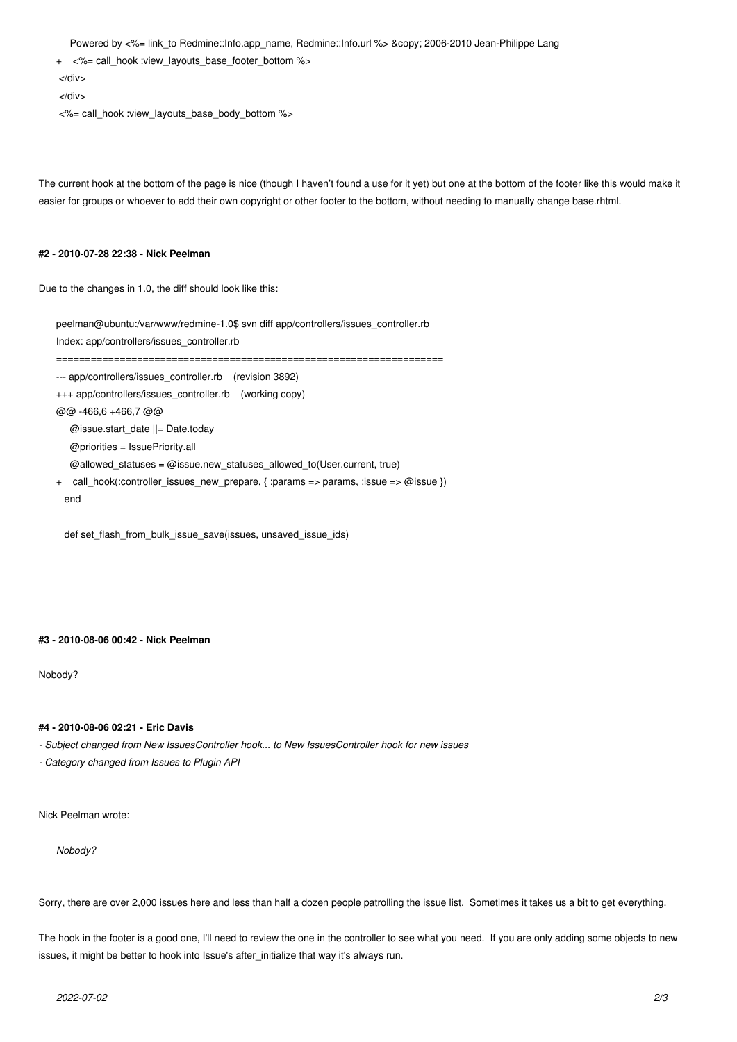Powered by <%= link\_to Redmine::Info.app\_name, Redmine::Info.url %> &copy; 2006-2010 Jean-Philippe Lang

+ <%= call\_hook :view\_layouts\_base\_footer\_bottom %>

</div>

</div>

<%= call\_hook :view\_layouts\_base\_body\_bottom %>

The current hook at the bottom of the page is nice (though I haven't found a use for it yet) but one at the bottom of the footer like this would make it easier for groups or whoever to add their own copyright or other footer to the bottom, without needing to manually change base.rhtml.

#### **#2 - 2010-07-28 22:38 - Nick Peelman**

Due to the changes in 1.0, the diff should look like this:

| peelman@ubuntu:/var/www/redmine-1.0\$ svn diff app/controllers/issues controller.rb               |  |  |  |
|---------------------------------------------------------------------------------------------------|--|--|--|
| Index: app/controllers/issues controller.rb                                                       |  |  |  |
|                                                                                                   |  |  |  |
| --- app/controllers/issues controller.rb (revision 3892)                                          |  |  |  |
| +++ app/controllers/issues controller.rb (working copy)                                           |  |  |  |
| @@ -466.6 +466.7 @@                                                                               |  |  |  |
| @issue.start date $  =$ Date.today                                                                |  |  |  |
| $@$ priorities = IssuePriority.all                                                                |  |  |  |
| @allowed statuses = @issue.new statuses allowed to (User.current, true)                           |  |  |  |
| call hook(:controller issues new prepare, { :params => params, :issue => $\omega$ issue })<br>$+$ |  |  |  |
| end                                                                                               |  |  |  |
|                                                                                                   |  |  |  |

def set\_flash\_from\_bulk\_issue\_save(issues, unsaved\_issue\_ids)

#### **#3 - 2010-08-06 00:42 - Nick Peelman**

Nobody?

### **#4 - 2010-08-06 02:21 - Eric Davis**

- *Subject changed from New IssuesController hook... to New IssuesController hook for new issues*
- *Category changed from Issues to Plugin API*

Nick Peelman wrote:

*Nobody?*

Sorry, there are over 2,000 issues here and less than half a dozen people patrolling the issue list. Sometimes it takes us a bit to get everything.

The hook in the footer is a good one, I'll need to review the one in the controller to see what you need. If you are only adding some objects to new issues, it might be better to hook into Issue's after\_initialize that way it's always run.